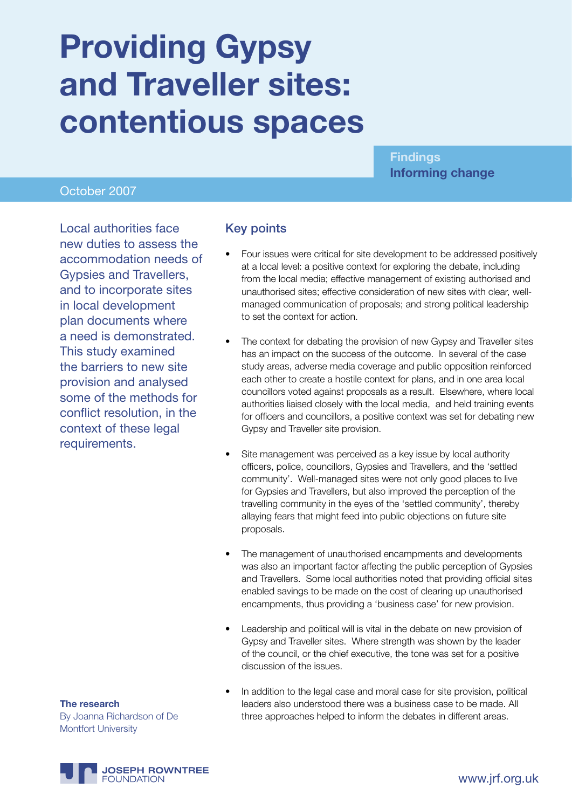# **Providing Gypsy and Traveller sites: contentious spaces**

### **Findings Informing change**

#### October 2007

Local authorities face new duties to assess the accommodation needs of Gypsies and Travellers, and to incorporate sites in local development plan documents where a need is demonstrated. This study examined the barriers to new site provision and analysed some of the methods for conflict resolution, in the context of these legal requirements.

#### Key points

- Four issues were critical for site development to be addressed positively at a local level: a positive context for exploring the debate, including from the local media; effective management of existing authorised and unauthorised sites; effective consideration of new sites with clear, wellmanaged communication of proposals; and strong political leadership to set the context for action.
- The context for debating the provision of new Gypsy and Traveller sites has an impact on the success of the outcome. In several of the case study areas, adverse media coverage and public opposition reinforced each other to create a hostile context for plans, and in one area local councillors voted against proposals as a result. Elsewhere, where local authorities liaised closely with the local media, and held training events for officers and councillors, a positive context was set for debating new Gypsy and Traveller site provision.
- Site management was perceived as a key issue by local authority officers, police, councillors, Gypsies and Travellers, and the 'settled community'. Well-managed sites were not only good places to live for Gypsies and Travellers, but also improved the perception of the travelling community in the eyes of the 'settled community', thereby allaying fears that might feed into public objections on future site proposals.
- The management of unauthorised encampments and developments was also an important factor affecting the public perception of Gypsies and Travellers. Some local authorities noted that providing official sites enabled savings to be made on the cost of clearing up unauthorised encampments, thus providing a 'business case' for new provision.
- Leadership and political will is vital in the debate on new provision of Gypsy and Traveller sites. Where strength was shown by the leader of the council, or the chief executive, the tone was set for a positive discussion of the issues.
- In addition to the legal case and moral case for site provision, political leaders also understood there was a business case to be made. All three approaches helped to inform the debates in different areas.

**The research** By Joanna Richardson of De Montfort University

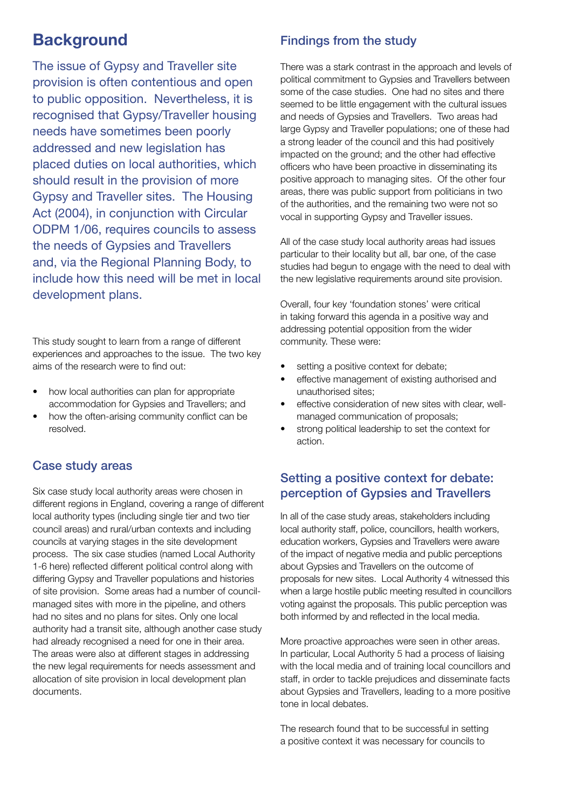# **Background**

The issue of Gypsy and Traveller site provision is often contentious and open to public opposition. Nevertheless, it is recognised that Gypsy/Traveller housing needs have sometimes been poorly addressed and new legislation has placed duties on local authorities, which should result in the provision of more Gypsy and Traveller sites. The Housing Act (2004), in conjunction with Circular ODPM 1/06, requires councils to assess the needs of Gypsies and Travellers and, via the Regional Planning Body, to include how this need will be met in local development plans.

This study sought to learn from a range of different experiences and approaches to the issue. The two key aims of the research were to find out:

- •how local authorities can plan for appropriate accommodation for Gypsies and Travellers; and
- •how the often-arising community conflict can be resolved.

#### Case study areas

Six case study local authority areas were chosen in different regions in England, covering a range of different local authority types (including single tier and two tier council areas) and rural/urban contexts and including councils at varying stages in the site development process. The six case studies (named Local Authority 1-6 here) reflected different political control along with differing Gypsy and Traveller populations and histories of site provision. Some areas had a number of councilmanaged sites with more in the pipeline, and others had no sites and no plans for sites. Only one local authority had a transit site, although another case study had already recognised a need for one in their area. The areas were also at different stages in addressing the new legal requirements for needs assessment and allocation of site provision in local development plan documents.

#### Findings from the study

There was a stark contrast in the approach and levels of political commitment to Gypsies and Travellers between some of the case studies. One had no sites and there seemed to be little engagement with the cultural issues and needs of Gypsies and Travellers. Two areas had large Gypsy and Traveller populations; one of these had a strong leader of the council and this had positively impacted on the ground; and the other had effective officers who have been proactive in disseminating its positive approach to managing sites. Of the other four areas, there was public support from politicians in two of the authorities, and the remaining two were not so vocal in supporting Gypsy and Traveller issues.

All of the case study local authority areas had issues particular to their locality but all, bar one, of the case studies had begun to engage with the need to deal with the new legislative requirements around site provision.

Overall, four key 'foundation stones' were critical in taking forward this agenda in a positive way and addressing potential opposition from the wider community. These were:

- setting a positive context for debate;
- •effective management of existing authorised and unauthorised sites;
- •effective consideration of new sites with clear, wellmanaged communication of proposals;
- •strong political leadership to set the context for action.

### Setting a positive context for debate: perception of Gypsies and Travellers

In all of the case study areas, stakeholders including local authority staff, police, councillors, health workers, education workers, Gypsies and Travellers were aware of the impact of negative media and public perceptions about Gypsies and Travellers on the outcome of proposals for new sites. Local Authority 4 witnessed this when a large hostile public meeting resulted in councillors voting against the proposals. This public perception was both informed by and reflected in the local media.

More proactive approaches were seen in other areas. In particular, Local Authority 5 had a process of liaising with the local media and of training local councillors and staff, in order to tackle prejudices and disseminate facts about Gypsies and Travellers, leading to a more positive tone in local debates.

The research found that to be successful in setting a positive context it was necessary for councils to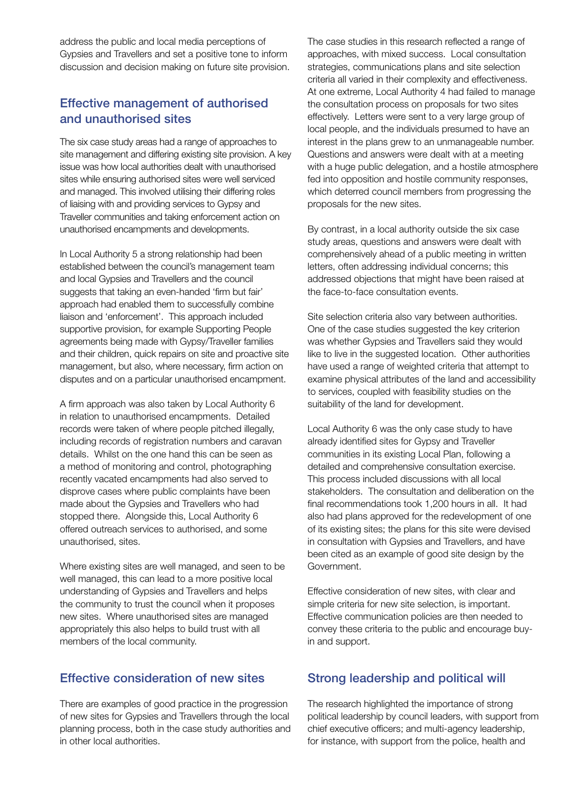address the public and local media perceptions of Gypsies and Travellers and set a positive tone to inform discussion and decision making on future site provision.

# Effective management of authorised and unauthorised sites

The six case study areas had a range of approaches to site management and differing existing site provision. A key issue was how local authorities dealt with unauthorised sites while ensuring authorised sites were well serviced and managed. This involved utilising their differing roles of liaising with and providing services to Gypsy and Traveller communities and taking enforcement action on unauthorised encampments and developments.

In Local Authority 5 a strong relationship had been established between the council's management team and local Gypsies and Travellers and the council suggests that taking an even-handed 'firm but fair' approach had enabled them to successfully combine liaison and 'enforcement'. This approach included supportive provision, for example Supporting People agreements being made with Gypsy/Traveller families and their children, quick repairs on site and proactive site management, but also, where necessary, firm action on disputes and on a particular unauthorised encampment.

A firm approach was also taken by Local Authority 6 in relation to unauthorised encampments. Detailed records were taken of where people pitched illegally, including records of registration numbers and caravan details. Whilst on the one hand this can be seen as a method of monitoring and control, photographing recently vacated encampments had also served to disprove cases where public complaints have been made about the Gypsies and Travellers who had stopped there. Alongside this, Local Authority 6 offered outreach services to authorised, and some unauthorised, sites.

Where existing sites are well managed, and seen to be well managed, this can lead to a more positive local understanding of Gypsies and Travellers and helps the community to trust the council when it proposes new sites. Where unauthorised sites are managed appropriately this also helps to build trust with all members of the local community.

#### Effective consideration of new sites

There are examples of good practice in the progression of new sites for Gypsies and Travellers through the local planning process, both in the case study authorities and in other local authorities.

The case studies in this research reflected a range of approaches, with mixed success. Local consultation strategies, communications plans and site selection criteria all varied in their complexity and effectiveness. At one extreme, Local Authority 4 had failed to manage the consultation process on proposals for two sites effectively. Letters were sent to a very large group of local people, and the individuals presumed to have an interest in the plans grew to an unmanageable number. Questions and answers were dealt with at a meeting with a huge public delegation, and a hostile atmosphere fed into opposition and hostile community responses, which deterred council members from progressing the proposals for the new sites.

By contrast, in a local authority outside the six case study areas, questions and answers were dealt with comprehensively ahead of a public meeting in written letters, often addressing individual concerns; this addressed objections that might have been raised at the face-to-face consultation events.

Site selection criteria also vary between authorities. One of the case studies suggested the key criterion was whether Gypsies and Travellers said they would like to live in the suggested location. Other authorities have used a range of weighted criteria that attempt to examine physical attributes of the land and accessibility to services, coupled with feasibility studies on the suitability of the land for development.

Local Authority 6 was the only case study to have already identified sites for Gypsy and Traveller communities in its existing Local Plan, following a detailed and comprehensive consultation exercise. This process included discussions with all local stakeholders. The consultation and deliberation on the final recommendations took 1,200 hours in all. It had also had plans approved for the redevelopment of one of its existing sites; the plans for this site were devised in consultation with Gypsies and Travellers, and have been cited as an example of good site design by the Government.

Effective consideration of new sites, with clear and simple criteria for new site selection, is important. Effective communication policies are then needed to convey these criteria to the public and encourage buyin and support.

# Strong leadership and political will

The research highlighted the importance of strong political leadership by council leaders, with support from chief executive officers; and multi-agency leadership, for instance, with support from the police, health and